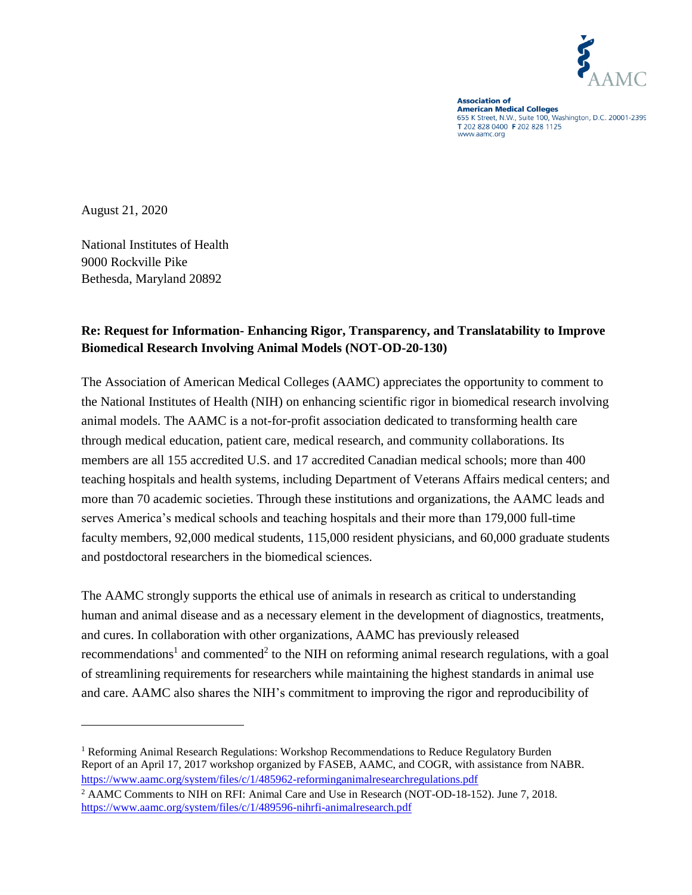

**Association of Ansectation of**<br>**American Medical Colleges** 655 K Street, N.W., Suite 100, Washington, D.C. 20001-2399 T 202 828 0400 F 202 828 1125 www.aamc.org

August 21, 2020

 $\overline{a}$ 

National Institutes of Health 9000 Rockville Pike Bethesda, Maryland 20892

## **Re: Request for Information- Enhancing Rigor, Transparency, and Translatability to Improve Biomedical Research Involving Animal Models (NOT-OD-20-130)**

The Association of American Medical Colleges (AAMC) appreciates the opportunity to comment to the National Institutes of Health (NIH) on enhancing scientific rigor in biomedical research involving animal models. The AAMC is a not-for-profit association dedicated to transforming health care through medical education, patient care, medical research, and community collaborations. Its members are all 155 accredited U.S. and 17 accredited Canadian medical schools; more than 400 teaching hospitals and health systems, including Department of Veterans Affairs medical centers; and more than 70 academic societies. Through these institutions and organizations, the AAMC leads and serves America's medical schools and teaching hospitals and their more than 179,000 full-time faculty members, 92,000 medical students, 115,000 resident physicians, and 60,000 graduate students and postdoctoral researchers in the biomedical sciences.

The AAMC strongly supports the ethical use of animals in research as critical to understanding human and animal disease and as a necessary element in the development of diagnostics, treatments, and cures. In collaboration with other organizations, AAMC has previously released recommendations<sup>1</sup> and commented<sup>2</sup> to the NIH on reforming animal research regulations, with a goal of streamlining requirements for researchers while maintaining the highest standards in animal use and care. AAMC also shares the NIH's commitment to improving the rigor and reproducibility of

<sup>&</sup>lt;sup>1</sup> Reforming Animal Research Regulations: Workshop Recommendations to Reduce Regulatory Burden Report of an April 17, 2017 workshop organized by FASEB, AAMC, and COGR, with assistance from NABR. <https://www.aamc.org/system/files/c/1/485962-reforminganimalresearchregulations.pdf>

<sup>&</sup>lt;sup>2</sup> AAMC Comments to NIH on RFI: Animal Care and Use in Research (NOT-OD-18-152). June 7, 2018. <https://www.aamc.org/system/files/c/1/489596-nihrfi-animalresearch.pdf>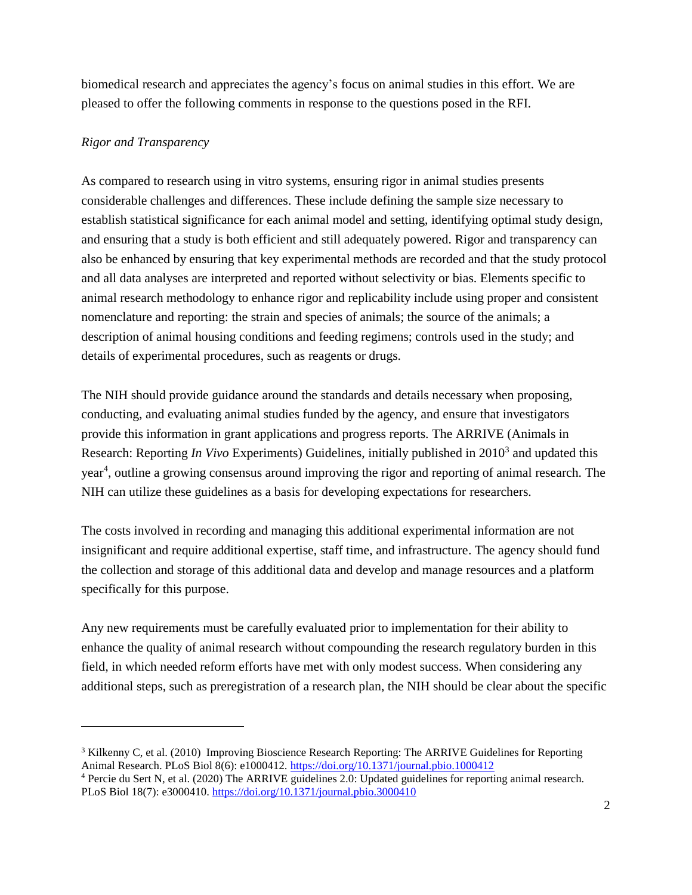biomedical research and appreciates the agency's focus on animal studies in this effort. We are pleased to offer the following comments in response to the questions posed in the RFI.

## *Rigor and Transparency*

 $\overline{\phantom{a}}$ 

As compared to research using in vitro systems, ensuring rigor in animal studies presents considerable challenges and differences. These include defining the sample size necessary to establish statistical significance for each animal model and setting, identifying optimal study design, and ensuring that a study is both efficient and still adequately powered. Rigor and transparency can also be enhanced by ensuring that key experimental methods are recorded and that the study protocol and all data analyses are interpreted and reported without selectivity or bias. Elements specific to animal research methodology to enhance rigor and replicability include using proper and consistent nomenclature and reporting: the strain and species of animals; the source of the animals; a description of animal housing conditions and feeding regimens; controls used in the study; and details of experimental procedures, such as reagents or drugs.

The NIH should provide guidance around the standards and details necessary when proposing, conducting, and evaluating animal studies funded by the agency, and ensure that investigators provide this information in grant applications and progress reports. The ARRIVE (Animals in Research: Reporting *In Vivo* Experiments) Guidelines, initially published in 2010<sup>3</sup> and updated this year<sup>4</sup>, outline a growing consensus around improving the rigor and reporting of animal research. The NIH can utilize these guidelines as a basis for developing expectations for researchers.

The costs involved in recording and managing this additional experimental information are not insignificant and require additional expertise, staff time, and infrastructure. The agency should fund the collection and storage of this additional data and develop and manage resources and a platform specifically for this purpose.

Any new requirements must be carefully evaluated prior to implementation for their ability to enhance the quality of animal research without compounding the research regulatory burden in this field, in which needed reform efforts have met with only modest success. When considering any additional steps, such as preregistration of a research plan, the NIH should be clear about the specific

<sup>&</sup>lt;sup>3</sup> Kilkenny C, et al. (2010) Improving Bioscience Research Reporting: The ARRIVE Guidelines for Reporting Animal Research. PLoS Biol 8(6): e1000412.<https://doi.org/10.1371/journal.pbio.1000412> <sup>4</sup> Percie du Sert N, et al. (2020) The ARRIVE guidelines 2.0: Updated guidelines for reporting animal research.

PLoS Biol 18(7): e3000410.<https://doi.org/10.1371/journal.pbio.3000410>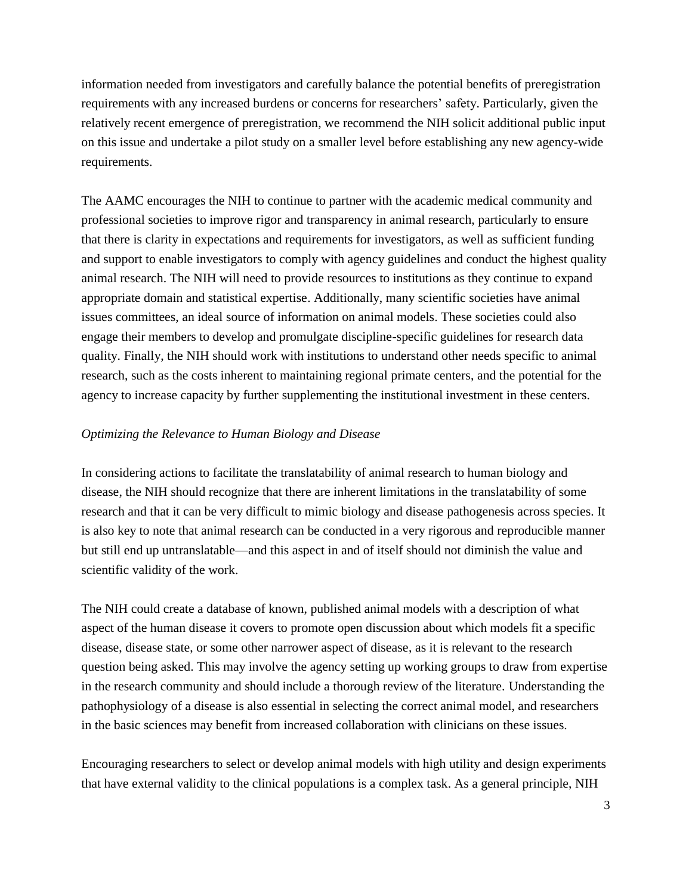information needed from investigators and carefully balance the potential benefits of preregistration requirements with any increased burdens or concerns for researchers' safety. Particularly, given the relatively recent emergence of preregistration, we recommend the NIH solicit additional public input on this issue and undertake a pilot study on a smaller level before establishing any new agency-wide requirements.

The AAMC encourages the NIH to continue to partner with the academic medical community and professional societies to improve rigor and transparency in animal research, particularly to ensure that there is clarity in expectations and requirements for investigators, as well as sufficient funding and support to enable investigators to comply with agency guidelines and conduct the highest quality animal research. The NIH will need to provide resources to institutions as they continue to expand appropriate domain and statistical expertise. Additionally, many scientific societies have animal issues committees, an ideal source of information on animal models. These societies could also engage their members to develop and promulgate discipline-specific guidelines for research data quality. Finally, the NIH should work with institutions to understand other needs specific to animal research, such as the costs inherent to maintaining regional primate centers, and the potential for the agency to increase capacity by further supplementing the institutional investment in these centers.

## *Optimizing the Relevance to Human Biology and Disease*

In considering actions to facilitate the translatability of animal research to human biology and disease, the NIH should recognize that there are inherent limitations in the translatability of some research and that it can be very difficult to mimic biology and disease pathogenesis across species. It is also key to note that animal research can be conducted in a very rigorous and reproducible manner but still end up untranslatable—and this aspect in and of itself should not diminish the value and scientific validity of the work.

The NIH could create a database of known, published animal models with a description of what aspect of the human disease it covers to promote open discussion about which models fit a specific disease, disease state, or some other narrower aspect of disease, as it is relevant to the research question being asked. This may involve the agency setting up working groups to draw from expertise in the research community and should include a thorough review of the literature. Understanding the pathophysiology of a disease is also essential in selecting the correct animal model, and researchers in the basic sciences may benefit from increased collaboration with clinicians on these issues.

Encouraging researchers to select or develop animal models with high utility and design experiments that have external validity to the clinical populations is a complex task. As a general principle, NIH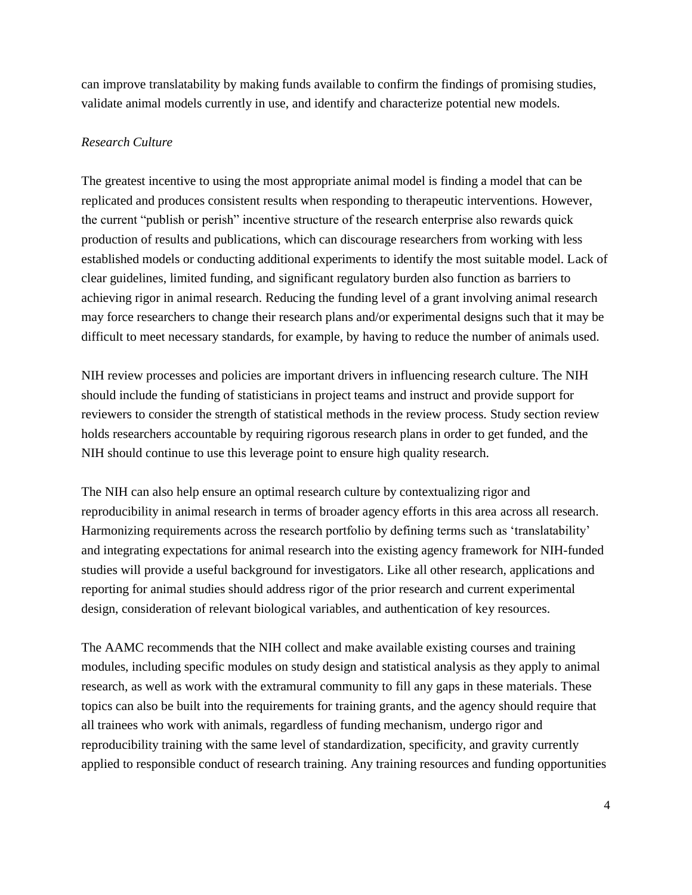can improve translatability by making funds available to confirm the findings of promising studies, validate animal models currently in use, and identify and characterize potential new models.

## *Research Culture*

The greatest incentive to using the most appropriate animal model is finding a model that can be replicated and produces consistent results when responding to therapeutic interventions. However, the current "publish or perish" incentive structure of the research enterprise also rewards quick production of results and publications, which can discourage researchers from working with less established models or conducting additional experiments to identify the most suitable model. Lack of clear guidelines, limited funding, and significant regulatory burden also function as barriers to achieving rigor in animal research. Reducing the funding level of a grant involving animal research may force researchers to change their research plans and/or experimental designs such that it may be difficult to meet necessary standards, for example, by having to reduce the number of animals used.

NIH review processes and policies are important drivers in influencing research culture. The NIH should include the funding of statisticians in project teams and instruct and provide support for reviewers to consider the strength of statistical methods in the review process. Study section review holds researchers accountable by requiring rigorous research plans in order to get funded, and the NIH should continue to use this leverage point to ensure high quality research.

The NIH can also help ensure an optimal research culture by contextualizing rigor and reproducibility in animal research in terms of broader agency efforts in this area across all research. Harmonizing requirements across the research portfolio by defining terms such as 'translatability' and integrating expectations for animal research into the existing agency framework for NIH-funded studies will provide a useful background for investigators. Like all other research, applications and reporting for animal studies should address rigor of the prior research and current experimental design, consideration of relevant biological variables, and authentication of key resources.

The AAMC recommends that the NIH collect and make available existing courses and training modules, including specific modules on study design and statistical analysis as they apply to animal research, as well as work with the extramural community to fill any gaps in these materials. These topics can also be built into the requirements for training grants, and the agency should require that all trainees who work with animals, regardless of funding mechanism, undergo rigor and reproducibility training with the same level of standardization, specificity, and gravity currently applied to responsible conduct of research training. Any training resources and funding opportunities